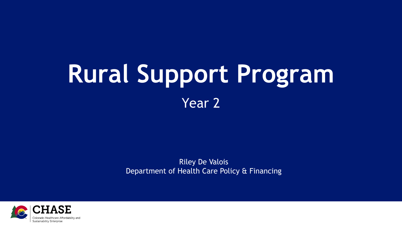#### **Rural Support Program** Year 2

Riley De Valois Department of Health Care Policy & Financing

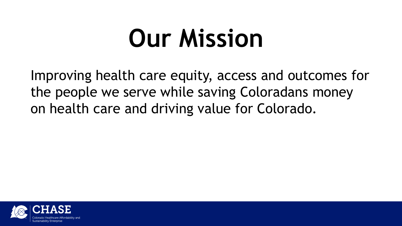### **Our Mission**

Improving health care equity, access and outcomes for the people we serve while saving Coloradans money on health care and driving value for Colorado.

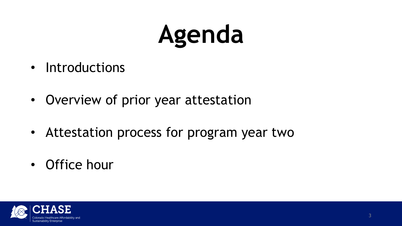## **Agenda**

- Introductions
- Overview of prior year attestation
- Attestation process for program year two
- Office hour

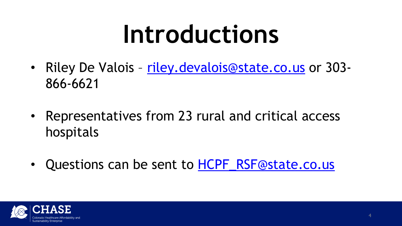### **Introductions**

- Riley De Valois [riley.devalois@state.co.us](mailto:riley.devalois@state.co.us) or 303-866-6621
- Representatives from 23 rural and critical access hospitals
- Questions can be sent to **[HCPF\\_RSF@state.co.us](mailto:HCPF_RSF@state.co.us)**

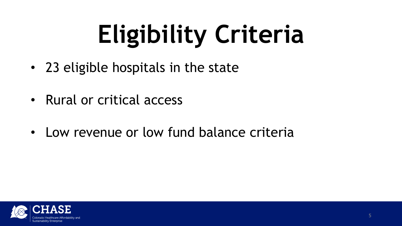# **Eligibility Criteria**

- 23 eligible hospitals in the state
- Rural or critical access
- Low revenue or low fund balance criteria

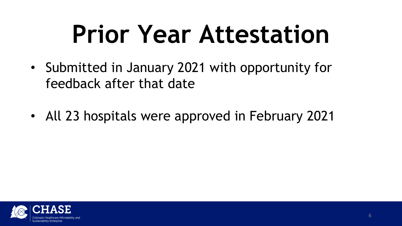## **Prior Year Attestation**

- Submitted in January 2021 with opportunity for feedback after that date
- All 23 hospitals were approved in February 2021

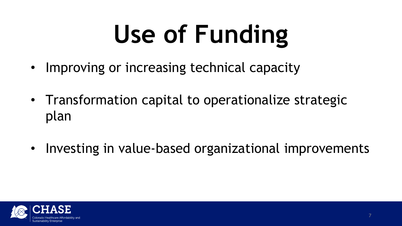# **Use of Funding**

- Improving or increasing technical capacity
- Transformation capital to operationalize strategic plan
- Investing in value-based organizational improvements

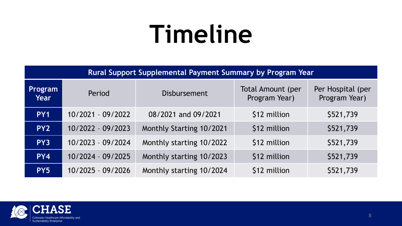#### **Timeline**

**Rural Support Supplemental Payment Summary by Program Year**

| Program<br><b>Year</b> | Period              | <b>Disbursement</b>      | <b>Total Amount (per</b><br>Program Year) | Per Hospital (per<br>Program Year) |
|------------------------|---------------------|--------------------------|-------------------------------------------|------------------------------------|
| PY <sub>1</sub>        | 10/2021 - 09/2022   | 08/2021 and 09/2021      | \$12 million                              | \$521,739                          |
| PY <sub>2</sub>        | $10/2022 - 09/2023$ | Monthly Starting 10/2021 | \$12 million                              | \$521,739                          |
| PY3                    | $10/2023 - 09/2024$ | Monthly starting 10/2022 | \$12 million                              | \$521,739                          |
| PY4                    | $10/2024 - 09/2025$ | Monthly starting 10/2023 | \$12 million                              | \$521,739                          |
| PY5                    | $10/2025 - 09/2026$ | Monthly starting 10/2024 | \$12 million                              | \$521,739                          |

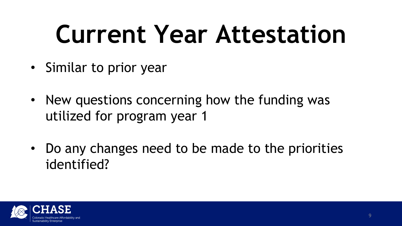## **Current Year Attestation**

- Similar to prior year
- New questions concerning how the funding was utilized for program year 1
- Do any changes need to be made to the priorities identified?

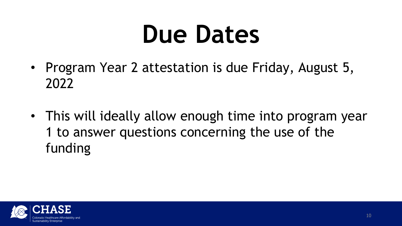### **Due Dates**

- Program Year 2 attestation is due Friday, August 5, 2022
- This will ideally allow enough time into program year 1 to answer questions concerning the use of the funding

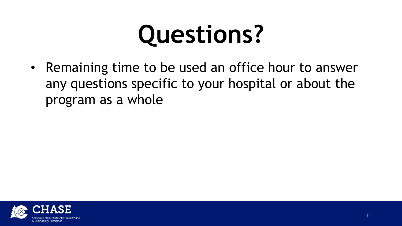## **Questions?**

• Remaining time to be used an office hour to answer any questions specific to your hospital or about the program as a whole